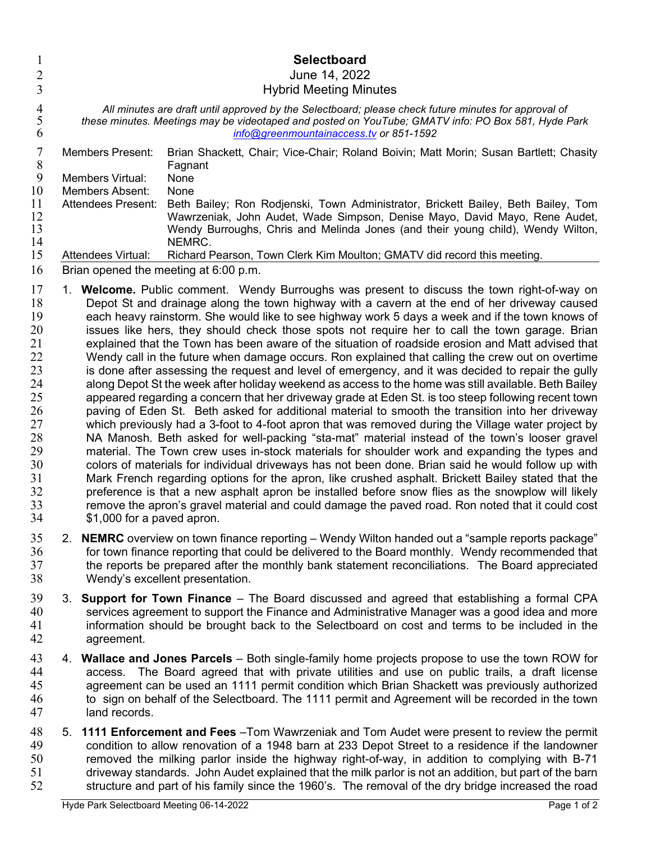| 1<br>$\overline{c}$                                                                                      |                                                                                                                                                                                                                                                       |                                                                                                                                                                                                                                                                                                                                                                                                                                                                                                                                                                                                                                                                                                                                                                                                                                                                                                                                                                                                                                                                                                                                                                                                                                                                                                                                                                                                                                                                                                                                                                                                                                                                                                                                                                                               | <b>Selectboard</b><br>June 14, 2022                                                                                                                                                                                                                                                                                                                                                                                                                                                                                      |
|----------------------------------------------------------------------------------------------------------|-------------------------------------------------------------------------------------------------------------------------------------------------------------------------------------------------------------------------------------------------------|-----------------------------------------------------------------------------------------------------------------------------------------------------------------------------------------------------------------------------------------------------------------------------------------------------------------------------------------------------------------------------------------------------------------------------------------------------------------------------------------------------------------------------------------------------------------------------------------------------------------------------------------------------------------------------------------------------------------------------------------------------------------------------------------------------------------------------------------------------------------------------------------------------------------------------------------------------------------------------------------------------------------------------------------------------------------------------------------------------------------------------------------------------------------------------------------------------------------------------------------------------------------------------------------------------------------------------------------------------------------------------------------------------------------------------------------------------------------------------------------------------------------------------------------------------------------------------------------------------------------------------------------------------------------------------------------------------------------------------------------------------------------------------------------------|--------------------------------------------------------------------------------------------------------------------------------------------------------------------------------------------------------------------------------------------------------------------------------------------------------------------------------------------------------------------------------------------------------------------------------------------------------------------------------------------------------------------------|
| 3                                                                                                        | <b>Hybrid Meeting Minutes</b>                                                                                                                                                                                                                         |                                                                                                                                                                                                                                                                                                                                                                                                                                                                                                                                                                                                                                                                                                                                                                                                                                                                                                                                                                                                                                                                                                                                                                                                                                                                                                                                                                                                                                                                                                                                                                                                                                                                                                                                                                                               |                                                                                                                                                                                                                                                                                                                                                                                                                                                                                                                          |
| 4<br>5<br>6                                                                                              | All minutes are draft until approved by the Selectboard; please check future minutes for approval of<br>these minutes. Meetings may be videotaped and posted on YouTube; GMATV info: PO Box 581, Hyde Park<br>info@greenmountainaccess.tv or 851-1592 |                                                                                                                                                                                                                                                                                                                                                                                                                                                                                                                                                                                                                                                                                                                                                                                                                                                                                                                                                                                                                                                                                                                                                                                                                                                                                                                                                                                                                                                                                                                                                                                                                                                                                                                                                                                               |                                                                                                                                                                                                                                                                                                                                                                                                                                                                                                                          |
| 7<br>$8\,$<br>$\boldsymbol{9}$<br>10                                                                     |                                                                                                                                                                                                                                                       | <b>Members Present:</b><br><b>Members Virtual:</b><br><b>Members Absent:</b>                                                                                                                                                                                                                                                                                                                                                                                                                                                                                                                                                                                                                                                                                                                                                                                                                                                                                                                                                                                                                                                                                                                                                                                                                                                                                                                                                                                                                                                                                                                                                                                                                                                                                                                  | Brian Shackett, Chair; Vice-Chair; Roland Boivin; Matt Morin; Susan Bartlett; Chasity<br>Fagnant<br>None<br>None                                                                                                                                                                                                                                                                                                                                                                                                         |
| 11<br>12<br>13<br>14                                                                                     |                                                                                                                                                                                                                                                       | <b>Attendees Present:</b>                                                                                                                                                                                                                                                                                                                                                                                                                                                                                                                                                                                                                                                                                                                                                                                                                                                                                                                                                                                                                                                                                                                                                                                                                                                                                                                                                                                                                                                                                                                                                                                                                                                                                                                                                                     | Beth Bailey; Ron Rodjenski, Town Administrator, Brickett Bailey, Beth Bailey, Tom<br>Wawrzeniak, John Audet, Wade Simpson, Denise Mayo, David Mayo, Rene Audet,<br>Wendy Burroughs, Chris and Melinda Jones (and their young child), Wendy Wilton,<br>NEMRC.                                                                                                                                                                                                                                                             |
| 15                                                                                                       |                                                                                                                                                                                                                                                       | <b>Attendees Virtual:</b>                                                                                                                                                                                                                                                                                                                                                                                                                                                                                                                                                                                                                                                                                                                                                                                                                                                                                                                                                                                                                                                                                                                                                                                                                                                                                                                                                                                                                                                                                                                                                                                                                                                                                                                                                                     | Richard Pearson, Town Clerk Kim Moulton; GMATV did record this meeting.                                                                                                                                                                                                                                                                                                                                                                                                                                                  |
| 16                                                                                                       |                                                                                                                                                                                                                                                       |                                                                                                                                                                                                                                                                                                                                                                                                                                                                                                                                                                                                                                                                                                                                                                                                                                                                                                                                                                                                                                                                                                                                                                                                                                                                                                                                                                                                                                                                                                                                                                                                                                                                                                                                                                                               | Brian opened the meeting at 6:00 p.m.                                                                                                                                                                                                                                                                                                                                                                                                                                                                                    |
| 17<br>18<br>19<br>20<br>21<br>22<br>23<br>24<br>25<br>26<br>27<br>28<br>29<br>30<br>31<br>32<br>33<br>34 |                                                                                                                                                                                                                                                       | 1. Welcome. Public comment. Wendy Burroughs was present to discuss the town right-of-way on<br>Depot St and drainage along the town highway with a cavern at the end of her driveway caused<br>each heavy rainstorm. She would like to see highway work 5 days a week and if the town knows of<br>issues like hers, they should check those spots not require her to call the town garage. Brian<br>explained that the Town has been aware of the situation of roadside erosion and Matt advised that<br>Wendy call in the future when damage occurs. Ron explained that calling the crew out on overtime<br>is done after assessing the request and level of emergency, and it was decided to repair the gully<br>along Depot St the week after holiday weekend as access to the home was still available. Beth Bailey<br>appeared regarding a concern that her driveway grade at Eden St. is too steep following recent town<br>paving of Eden St. Beth asked for additional material to smooth the transition into her driveway<br>which previously had a 3-foot to 4-foot apron that was removed during the Village water project by<br>NA Manosh. Beth asked for well-packing "sta-mat" material instead of the town's looser gravel<br>material. The Town crew uses in-stock materials for shoulder work and expanding the types and<br>colors of materials for individual driveways has not been done. Brian said he would follow up with<br>Mark French regarding options for the apron, like crushed asphalt. Brickett Bailey stated that the<br>preference is that a new asphalt apron be installed before snow flies as the snowplow will likely<br>remove the apron's gravel material and could damage the paved road. Ron noted that it could cost<br>\$1,000 for a paved apron. |                                                                                                                                                                                                                                                                                                                                                                                                                                                                                                                          |
| 35<br>36<br>37<br>38                                                                                     |                                                                                                                                                                                                                                                       |                                                                                                                                                                                                                                                                                                                                                                                                                                                                                                                                                                                                                                                                                                                                                                                                                                                                                                                                                                                                                                                                                                                                                                                                                                                                                                                                                                                                                                                                                                                                                                                                                                                                                                                                                                                               | 2. NEMRC overview on town finance reporting – Wendy Wilton handed out a "sample reports package"<br>for town finance reporting that could be delivered to the Board monthly. Wendy recommended that<br>the reports be prepared after the monthly bank statement reconciliations. The Board appreciated<br>Wendy's excellent presentation.                                                                                                                                                                                |
| 39<br>40<br>41<br>42                                                                                     |                                                                                                                                                                                                                                                       | agreement.                                                                                                                                                                                                                                                                                                                                                                                                                                                                                                                                                                                                                                                                                                                                                                                                                                                                                                                                                                                                                                                                                                                                                                                                                                                                                                                                                                                                                                                                                                                                                                                                                                                                                                                                                                                    | 3. Support for Town Finance – The Board discussed and agreed that establishing a formal CPA<br>services agreement to support the Finance and Administrative Manager was a good idea and more<br>information should be brought back to the Selectboard on cost and terms to be included in the                                                                                                                                                                                                                            |
| 43<br>44<br>45<br>46<br>47                                                                               |                                                                                                                                                                                                                                                       | land records.                                                                                                                                                                                                                                                                                                                                                                                                                                                                                                                                                                                                                                                                                                                                                                                                                                                                                                                                                                                                                                                                                                                                                                                                                                                                                                                                                                                                                                                                                                                                                                                                                                                                                                                                                                                 | 4. Wallace and Jones Parcels – Both single-family home projects propose to use the town ROW for<br>access. The Board agreed that with private utilities and use on public trails, a draft license<br>agreement can be used an 1111 permit condition which Brian Shackett was previously authorized<br>to sign on behalf of the Selectboard. The 1111 permit and Agreement will be recorded in the town                                                                                                                   |
| 48<br>49<br>50<br>51<br>52                                                                               | 5.                                                                                                                                                                                                                                                    |                                                                                                                                                                                                                                                                                                                                                                                                                                                                                                                                                                                                                                                                                                                                                                                                                                                                                                                                                                                                                                                                                                                                                                                                                                                                                                                                                                                                                                                                                                                                                                                                                                                                                                                                                                                               | <b>1111 Enforcement and Fees</b> - Tom Wawrzeniak and Tom Audet were present to review the permit<br>condition to allow renovation of a 1948 barn at 233 Depot Street to a residence if the landowner<br>removed the milking parlor inside the highway right-of-way, in addition to complying with B-71<br>driveway standards. John Audet explained that the milk parlor is not an addition, but part of the barn<br>structure and part of his family since the 1960's. The removal of the dry bridge increased the road |